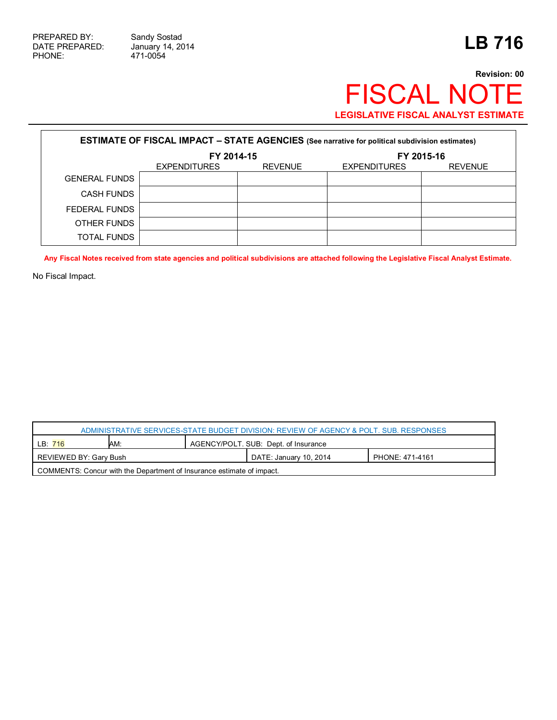471-0054

## **Revision: 00** FISCAL NOTE **LEGISLATIVE FISCAL ANALYST ESTIMATE**

| <b>ESTIMATE OF FISCAL IMPACT - STATE AGENCIES</b> (See narrative for political subdivision estimates) |                     |                |                     |                |  |
|-------------------------------------------------------------------------------------------------------|---------------------|----------------|---------------------|----------------|--|
|                                                                                                       | FY 2014-15          |                | FY 2015-16          |                |  |
|                                                                                                       | <b>EXPENDITURES</b> | <b>REVENUE</b> | <b>EXPENDITURES</b> | <b>REVENUE</b> |  |
| <b>GENERAL FUNDS</b>                                                                                  |                     |                |                     |                |  |
| <b>CASH FUNDS</b>                                                                                     |                     |                |                     |                |  |
| FEDERAL FUNDS                                                                                         |                     |                |                     |                |  |
| OTHER FUNDS                                                                                           |                     |                |                     |                |  |
| <b>TOTAL FUNDS</b>                                                                                    |                     |                |                     |                |  |

**Any Fiscal Notes received from state agencies and political subdivisions are attached following the Legislative Fiscal Analyst Estimate.**

No Fiscal Impact.

| ADMINISTRATIVE SERVICES-STATE BUDGET DIVISION: REVIEW OF AGENCY & POLT. SUB. RESPONSES |     |  |                                      |                 |  |
|----------------------------------------------------------------------------------------|-----|--|--------------------------------------|-----------------|--|
| LB: 716                                                                                | AM: |  | AGENCY/POLT. SUB: Dept. of Insurance |                 |  |
| REVIEWED BY: Gary Bush                                                                 |     |  | DATE: January 10, 2014               | PHONE: 471-4161 |  |
| COMMENTS: Concur with the Department of Insurance estimate of impact.                  |     |  |                                      |                 |  |